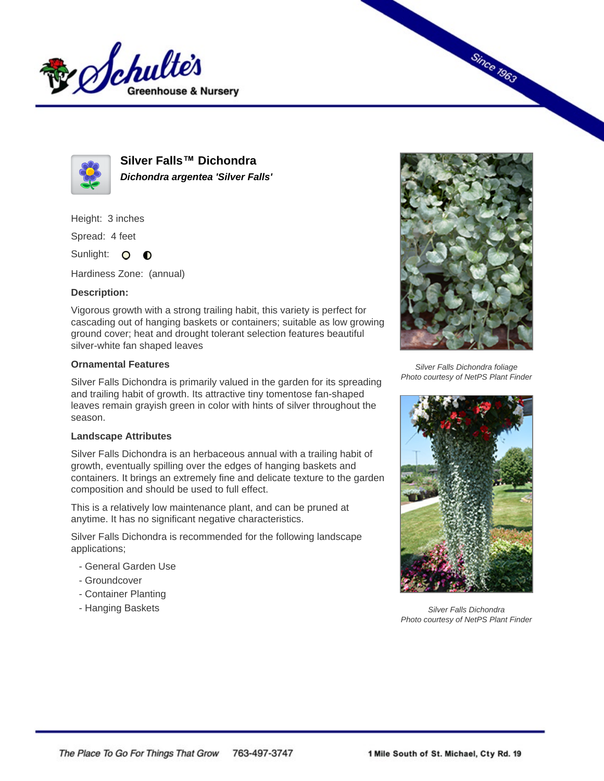



**Silver Falls™ Dichondra Dichondra argentea 'Silver Falls'**

Height: 3 inches

Spread: 4 feet

Sunlight: O **O** 

Hardiness Zone: (annual)

## **Description:**

Vigorous growth with a strong trailing habit, this variety is perfect for cascading out of hanging baskets or containers; suitable as low growing ground cover; heat and drought tolerant selection features beautiful silver-white fan shaped leaves

## **Ornamental Features**

Silver Falls Dichondra is primarily valued in the garden for its spreading and trailing habit of growth. Its attractive tiny tomentose fan-shaped leaves remain grayish green in color with hints of silver throughout the season.

## **Landscape Attributes**

Silver Falls Dichondra is an herbaceous annual with a trailing habit of growth, eventually spilling over the edges of hanging baskets and containers. It brings an extremely fine and delicate texture to the garden composition and should be used to full effect.

This is a relatively low maintenance plant, and can be pruned at anytime. It has no significant negative characteristics.

Silver Falls Dichondra is recommended for the following landscape applications;

- General Garden Use
- Groundcover
- Container Planting
- Hanging Baskets



**Since 1963** 

Silver Falls Dichondra foliage Photo courtesy of NetPS Plant Finder



Silver Falls Dichondra Photo courtesy of NetPS Plant Finder